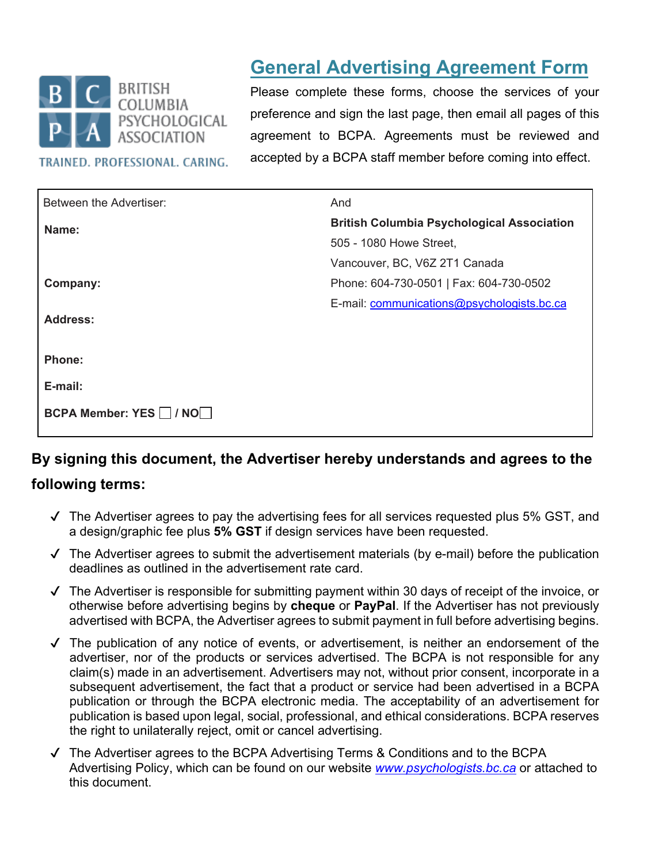

TRAINED. PROFESSIONAL. CARING.

# **General Advertising Agreement Form**

Please complete these forms, choose the services of your preference and sign the last page, then email all pages of this agreement to BCPA. Agreements must be reviewed and accepted by a BCPA staff member before coming into effect.

| Between the Advertiser: | And                                               |
|-------------------------|---------------------------------------------------|
| Name:                   | <b>British Columbia Psychological Association</b> |
|                         | 505 - 1080 Howe Street,                           |
|                         | Vancouver, BC, V6Z 2T1 Canada                     |
| Company:                | Phone: 604-730-0501   Fax: 604-730-0502           |
|                         | E-mail: communications@psychologists.bc.ca        |
| <b>Address:</b>         |                                                   |
|                         |                                                   |
| <b>Phone:</b>           |                                                   |
| E-mail:                 |                                                   |
| BCPA Member: YES □ / NO |                                                   |

# **By signing this document, the Advertiser hereby understands and agrees to the**

### **following terms:**

- $\sqrt{ }$  The Advertiser agrees to pay the advertising fees for all services requested plus 5% GST, and a design/graphic fee plus **5% GST** if design services have been requested.
- $\sqrt{ }$  The Advertiser agrees to submit the advertisement materials (by e-mail) before the publication deadlines as outlined in the advertisement rate card.
- $\sqrt{ }$  The Advertiser is responsible for submitting payment within 30 days of receipt of the invoice, or otherwise before advertising begins by **cheque** or **PayPal**. If the Advertiser has not previously advertised with BCPA, the Advertiser agrees to submit payment in full before advertising begins.
- $\checkmark$  The publication of any notice of events, or advertisement, is neither an endorsement of the advertiser, nor of the products or services advertised. The BCPA is not responsible for any claim(s) made in an advertisement. Advertisers may not, without prior consent, incorporate in a subsequent advertisement, the fact that a product or service had been advertised in a BCPA publication or through the BCPA electronic media. The acceptability of an advertisement for publication is based upon legal, social, professional, and ethical considerations. BCPA reserves the right to unilaterally reject, omit or cancel advertising.
- ✔ The Advertiser agrees to the BCPA Advertising Terms & Conditions and to the BCPA Advertising Policy, which can be found on our website *[www.psychologists.bc.ca](http://www.psychologists.bc.ca/)* or attached to this document.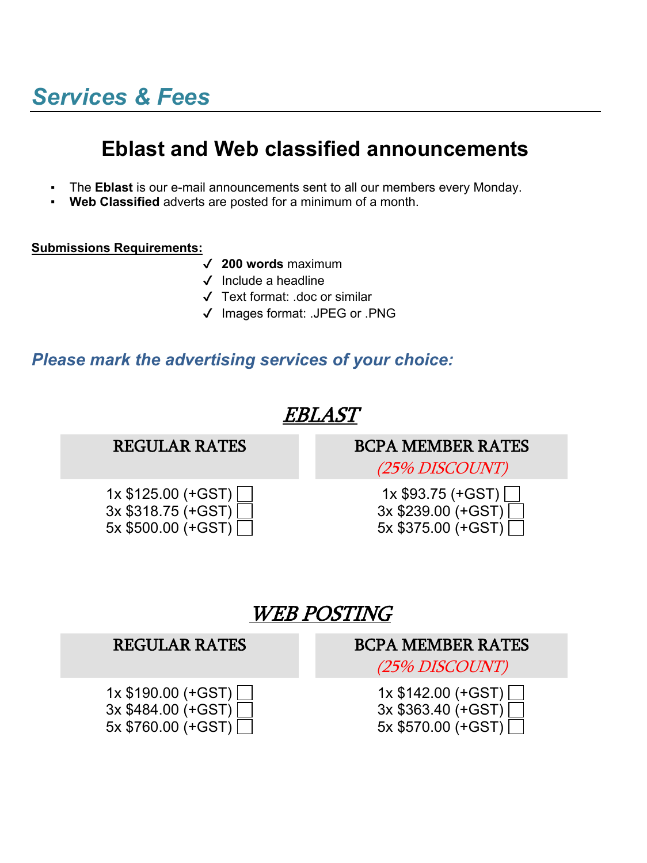# **Eblast and Web classified announcements**

- The **Eblast** is our e-mail announcements sent to all our members every Monday.
- **Web Classified** adverts are posted for a minimum of a month.

### **Submissions Requirements:**

- ✔ **200 words** maximum
- ✔ Include a headline
- ✔ Text format: .doc or similar
- ✔ Images format: .JPEG or .PNG

### *Please mark the advertising services of your choice:*



| REGULAR RATES                                                     | DUPA MEMBER RATES                                                 |
|-------------------------------------------------------------------|-------------------------------------------------------------------|
|                                                                   | (25% DISCOUNT)                                                    |
| $1x $190.00 (+GST)$<br>$3x $484.00 (+GST)$<br>$5x $760.00 (+GST)$ | $1x $142.00 (+GST)$<br>$3x $363.40 (+GST)$<br>$5x $570.00 (+GST)$ |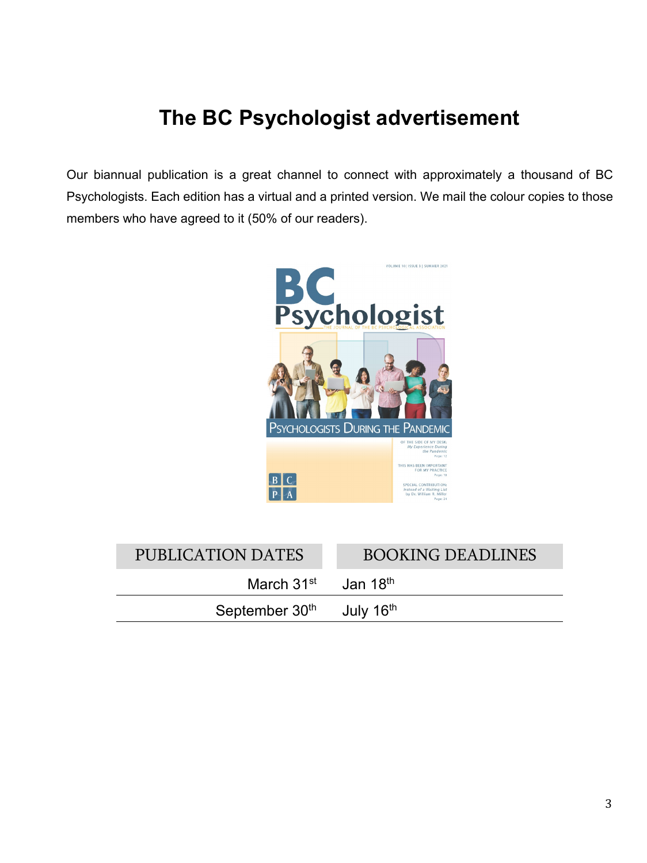# **The BC Psychologist advertisement**

Our biannual publication is a great channel to connect with approximately a thousand of BC Psychologists. Each edition has a virtual and a printed version. We mail the colour copies to those members who have agreed to it (50% of our readers).



| PUBLICATION DATES          | <b>BOOKING DEADLINES</b> |
|----------------------------|--------------------------|
| March $31st$ Jan $18th$    |                          |
| September 30 <sup>th</sup> | July 16 <sup>th</sup>    |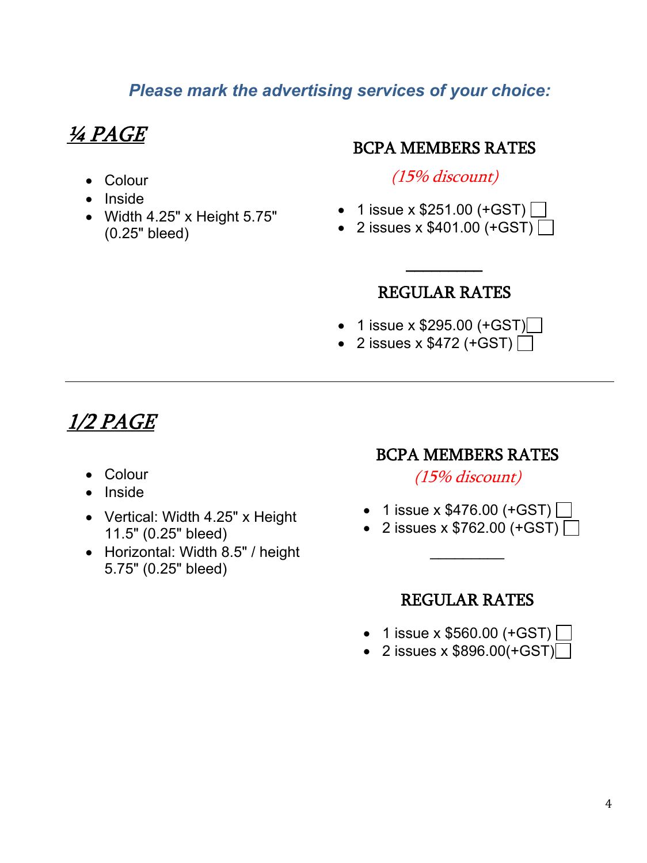## *Please mark the advertising services of your choice:*

# ¼ PAGE

- Colour
- Inside
- Width 4.25" x Height 5.75" (0.25" bleed)

### BCPA MEMBERS RATES

(15% discount)

- 1 issue x  $$251.00$  (+GST)
- 2 issues x  $$401.00$  (+GST)

 $\overline{\phantom{a}}$ 

## REGULAR RATES

- 1 issue x  $$295.00 (+GST)$
- 2 issues x  $$472$  (+GST)  $\Box$

## 1/2 PAGE

- Colour
- Inside
- Vertical: Width 4.25" x Height 11.5" (0.25" bleed)
- Horizontal: Width 8.5" / height 5.75" (0.25" bleed)

### BCPA MEMBERS RATES

(15% discount)

- 1 issue x  $$476.00$  (+GST)
- 2 issues x  $$762.00$  (+GST)

\_\_\_\_\_\_\_\_\_

### REGULAR RATES

- 1 issue x  $$560.00$  (+GST)
- 2 issues x  $$896.00(+GST)$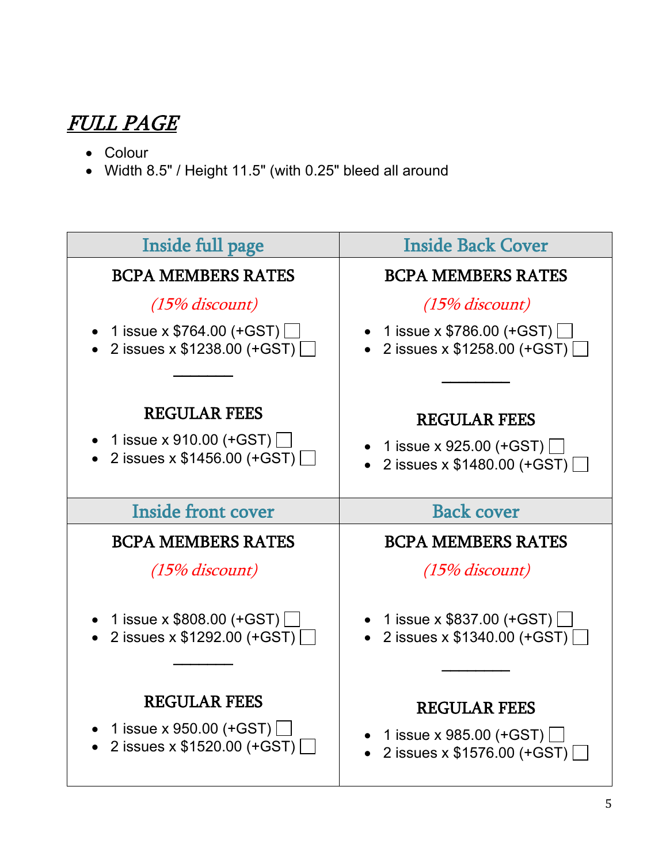# FULL PAGE

- Colour
- Width 8.5" / Height 11.5" (with 0.25" bleed all around

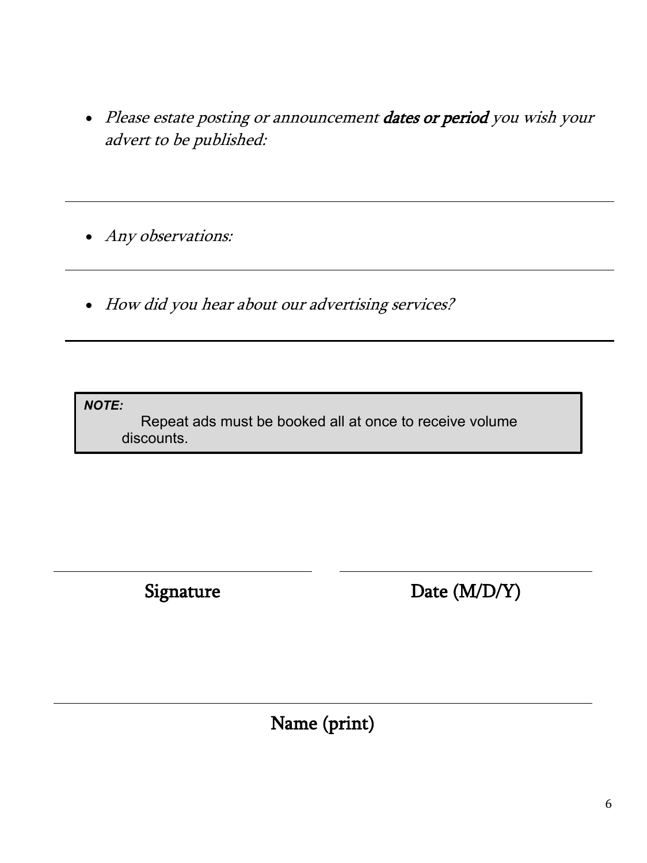• Please estate posting or announcement dates or period you wish your advert to be published:

• Any observations:

• How did you hear about our advertising services?

*NOTE:* 

Repeat ads must be booked all at once to receive volume discounts.

Ī

Signature Date (M/D/Y)

Name (print)